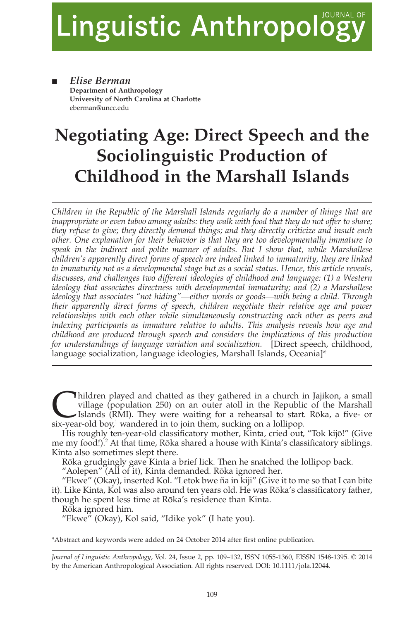# Linguistic Anthropology

■ *Elise Berman* **Department of Anthropology University of North Carolina at Charlotte** [eberman@uncc.edu](mailto:eberman@uncc.edu)

# **Negotiating Age: Direct Speech and the Sociolinguistic Production of Childhood in the Marshall Islands**

*Children in the Republic of the Marshall Islands regularly do a number of things that are inappropriate or even taboo among adults: they walk with food that they do not offer to share; they refuse to give; they directly demand things; and they directly criticize and insult each other. One explanation for their behavior is that they are too developmentally immature to speak in the indirect and polite manner of adults. But I show that, while Marshallese children's apparently direct forms of speech are indeed linked to immaturity, they are linked to immaturity not as a developmental stage but as a social status. Hence, this article reveals, discusses, and challenges two different ideologies of childhood and language: (1) a Western ideology that associates directness with developmental immaturity; and (2) a Marshallese ideology that associates "not hiding"—either words or goods—with being a child. Through their apparently direct forms of speech, children negotiate their relative age and power relationships with each other while simultaneously constructing each other as peers and indexing participants as immature relative to adults. This analysis reveals how age and childhood are produced through speech and considers the implications of this production for understandings of language variation and socialization.* [Direct speech, childhood, language socialization, language ideologies, Marshall Islands, Oceania]\*

Children played and chatted as they gathered in a church in Jajikon, a small village (population 250) on an outer atoll in the Republic of the Marshall Islands (RMI). They were waiting for a rehearsal to start. Rōka, a five- or six-year-old boy, $1$  wandered in to join them, sucking on a lollipop.

His roughly ten-year-old classificatory mother, Kinta, cried out, "Tok kijō!" (Give me my food!).<sup>2</sup> At that time, Rōka shared a house with Kinta's classificatory siblings. Kinta also sometimes slept there.

Rōka grudgingly gave Kinta a brief lick. Then he snatched the lollipop back.

"Aolepen" (All of it), Kinta demanded. Rōka ignored her.

"Ekwe" (Okay), inserted Kol. "Letok bwe ña in kiji" (Give it to me so that I can bite it). Like Kinta, Kol was also around ten years old. He was Rōka's classificatory father, though he spent less time at Rōka's residence than Kinta.

Rōka ignored him.

"Ekwe" (Okay), Kol said, "Idike yok" (I hate you).

\*Abstract and keywords were added on 24 October 2014 after first online publication.

*Journal of Linguistic Anthropology*, Vol. 24, Issue 2, pp. 109–132, ISSN 1055-1360, EISSN 1548-1395. © 2014 by the American Anthropological Association. All rights reserved. DOI: 10.1111/jola.12044.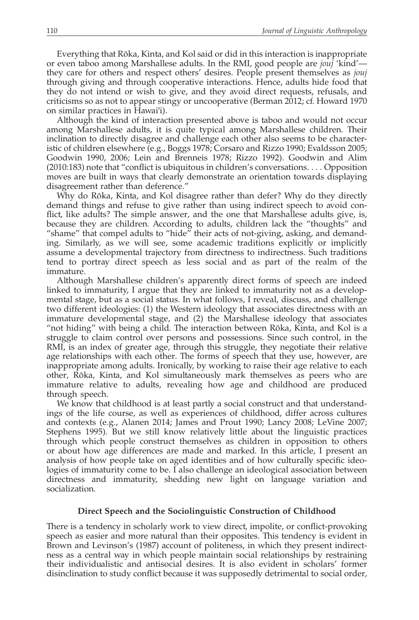Everything that Rōka, Kinta, and Kol said or did in this interaction is inappropriate or even taboo among Marshallese adults. In the RMI, good people are *jouj* 'kind' they care for others and respect others' desires. People present themselves as *jouj* through giving and through cooperative interactions. Hence, adults hide food that they do not intend or wish to give, and they avoid direct requests, refusals, and criticisms so as not to appear stingy or uncooperative (Berman 2012; cf. Howard 1970 on similar practices in Hawai'i).

Although the kind of interaction presented above is taboo and would not occur among Marshallese adults, it is quite typical among Marshallese children. Their inclination to directly disagree and challenge each other also seems to be characteristic of children elsewhere (e.g., Boggs 1978; Corsaro and Rizzo 1990; Evaldsson 2005; Goodwin 1990, 2006; Lein and Brenneis 1978; Rizzo 1992). Goodwin and Alim (2010:183) note that "conflict is ubiquitous in children's conversations.... Opposition moves are built in ways that clearly demonstrate an orientation towards displaying disagreement rather than deference."

Why do Rōka, Kinta, and Kol disagree rather than defer? Why do they directly demand things and refuse to give rather than using indirect speech to avoid conflict, like adults? The simple answer, and the one that Marshallese adults give, is, because they are children. According to adults, children lack the "thoughts" and "shame" that compel adults to "hide" their acts of not-giving, asking, and demanding. Similarly, as we will see, some academic traditions explicitly or implicitly assume a developmental trajectory from directness to indirectness. Such traditions tend to portray direct speech as less social and as part of the realm of the immature.

Although Marshallese children's apparently direct forms of speech are indeed linked to immaturity, I argue that they are linked to immaturity not as a developmental stage, but as a social status. In what follows, I reveal, discuss, and challenge two different ideologies: (1) the Western ideology that associates directness with an immature developmental stage, and (2) the Marshallese ideology that associates "not hiding" with being a child. The interaction between Rōka, Kinta, and Kol is a struggle to claim control over persons and possessions. Since such control, in the RMI, is an index of greater age, through this struggle, they negotiate their relative age relationships with each other. The forms of speech that they use, however, are inappropriate among adults. Ironically, by working to raise their age relative to each other, Rōka, Kinta, and Kol simultaneously mark themselves as peers who are immature relative to adults, revealing how age and childhood are produced through speech.

We know that childhood is at least partly a social construct and that understandings of the life course, as well as experiences of childhood, differ across cultures and contexts (e.g., Alanen 2014; James and Prout 1990; Lancy 2008; LeVine 2007; Stephens 1995). But we still know relatively little about the linguistic practices through which people construct themselves as children in opposition to others or about how age differences are made and marked. In this article, I present an analysis of how people take on aged identities and of how culturally specific ideologies of immaturity come to be. I also challenge an ideological association between directness and immaturity, shedding new light on language variation and socialization.

### **Direct Speech and the Sociolinguistic Construction of Childhood**

There is a tendency in scholarly work to view direct, impolite, or conflict-provoking speech as easier and more natural than their opposites. This tendency is evident in Brown and Levinson's (1987) account of politeness, in which they present indirectness as a central way in which people maintain social relationships by restraining their individualistic and antisocial desires. It is also evident in scholars' former disinclination to study conflict because it was supposedly detrimental to social order,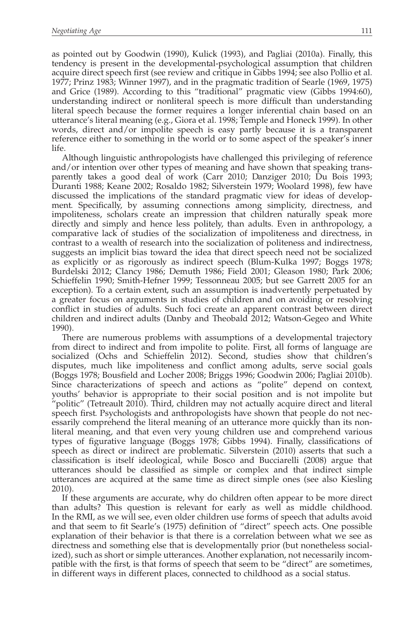as pointed out by Goodwin (1990), Kulick (1993), and Pagliai (2010a). Finally, this tendency is present in the developmental-psychological assumption that children acquire direct speech first (see review and critique in Gibbs 1994; see also Pollio et al. 1977; Prinz 1983; Winner 1997), and in the pragmatic tradition of Searle (1969, 1975) and Grice (1989). According to this "traditional" pragmatic view (Gibbs 1994:60), understanding indirect or nonliteral speech is more difficult than understanding literal speech because the former requires a longer inferential chain based on an utterance's literal meaning (e.g., Giora et al. 1998; Temple and Honeck 1999). In other words, direct and/or impolite speech is easy partly because it is a transparent reference either to something in the world or to some aspect of the speaker's inner life.

Although linguistic anthropologists have challenged this privileging of reference and/or intention over other types of meaning and have shown that speaking transparently takes a good deal of work (Carr 2010; Danziger 2010; Du Bois 1993; Duranti 1988; Keane 2002; Rosaldo 1982; Silverstein 1979; Woolard 1998), few have discussed the implications of the standard pragmatic view for ideas of development. Specifically, by assuming connections among simplicity, directness, and impoliteness, scholars create an impression that children naturally speak more directly and simply and hence less politely, than adults. Even in anthropology, a comparative lack of studies of the socialization of impoliteness and directness, in contrast to a wealth of research into the socialization of politeness and indirectness, suggests an implicit bias toward the idea that direct speech need not be socialized as explicitly or as rigorously as indirect speech (Blum-Kulka 1997; Boggs 1978; Burdelski 2012; Clancy 1986; Demuth 1986; Field 2001; Gleason 1980; Park 2006; Schieffelin 1990; Smith-Hefner 1999; Tessonneau 2005; but see Garrett 2005 for an exception). To a certain extent, such an assumption is inadvertently perpetuated by a greater focus on arguments in studies of children and on avoiding or resolving conflict in studies of adults. Such foci create an apparent contrast between direct children and indirect adults (Danby and Theobald 2012; Watson-Gegeo and White 1990).

There are numerous problems with assumptions of a developmental trajectory from direct to indirect and from impolite to polite. First, all forms of language are socialized (Ochs and Schieffelin 2012). Second, studies show that children's disputes, much like impoliteness and conflict among adults, serve social goals (Boggs 1978; Bousfield and Locher 2008; Briggs 1996; Goodwin 2006; Pagliai 2010b). Since characterizations of speech and actions as "polite" depend on context, youths' behavior is appropriate to their social position and is not impolite but "politic" (Tetreault 2010). Third, children may not actually acquire direct and literal speech first. Psychologists and anthropologists have shown that people do not necessarily comprehend the literal meaning of an utterance more quickly than its nonliteral meaning, and that even very young children use and comprehend various types of figurative language (Boggs 1978; Gibbs 1994). Finally, classifications of speech as direct or indirect are problematic. Silverstein (2010) asserts that such a classification is itself ideological, while Bosco and Bucciarelli (2008) argue that utterances should be classified as simple or complex and that indirect simple utterances are acquired at the same time as direct simple ones (see also Kiesling 2010).

If these arguments are accurate, why do children often appear to be more direct than adults? This question is relevant for early as well as middle childhood. In the RMI, as we will see, even older children use forms of speech that adults avoid and that seem to fit Searle's (1975) definition of "direct" speech acts. One possible explanation of their behavior is that there is a correlation between what we see as directness and something else that is developmentally prior (but nonetheless socialized), such as short or simple utterances. Another explanation, not necessarily incompatible with the first, is that forms of speech that seem to be "direct" are sometimes, in different ways in different places, connected to childhood as a social status.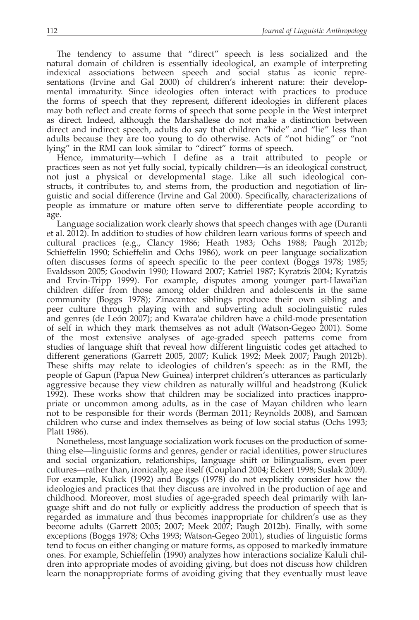The tendency to assume that "direct" speech is less socialized and the natural domain of children is essentially ideological, an example of interpreting indexical associations between speech and social status as iconic representations (Irvine and Gal 2000) of children's inherent nature: their developmental immaturity. Since ideologies often interact with practices to produce the forms of speech that they represent, different ideologies in different places may both reflect and create forms of speech that some people in the West interpret as direct. Indeed, although the Marshallese do not make a distinction between direct and indirect speech, adults do say that children "hide" and "lie" less than adults because they are too young to do otherwise. Acts of "not hiding" or "not lying" in the RMI can look similar to "direct" forms of speech.

Hence, immaturity—which I define as a trait attributed to people or practices seen as not yet fully social, typically children—is an ideological construct, not just a physical or developmental stage. Like all such ideological constructs, it contributes to, and stems from, the production and negotiation of linguistic and social difference (Irvine and Gal 2000). Specifically, characterizations of people as immature or mature often serve to differentiate people according to age.

Language socialization work clearly shows that speech changes with age (Duranti et al. 2012). In addition to studies of how children learn various forms of speech and cultural practices (e.g., Clancy 1986; Heath 1983; Ochs 1988; Paugh 2012b; Schieffelin 1990; Schieffelin and Ochs 1986), work on peer language socialization often discusses forms of speech specific to the peer context (Boggs 1978; 1985; Evaldsson 2005; Goodwin 1990; Howard 2007; Katriel 1987; Kyratzis 2004; Kyratzis and Ervin-Tripp 1999). For example, disputes among younger part-Hawai'ian children differ from those among older children and adolescents in the same community (Boggs 1978); Zinacantec siblings produce their own sibling and peer culture through playing with and subverting adult sociolinguistic rules and genres (de León 2007); and Kwara'ae children have a child-mode presentation of self in which they mark themselves as not adult (Watson-Gegeo 2001). Some of the most extensive analyses of age-graded speech patterns come from studies of language shift that reveal how different linguistic codes get attached to different generations (Garrett 2005, 2007; Kulick 1992; Meek 2007; Paugh 2012b). These shifts may relate to ideologies of children's speech: as in the RMI, the people of Gapun (Papua New Guinea) interpret children's utterances as particularly aggressive because they view children as naturally willful and headstrong (Kulick 1992). These works show that children may be socialized into practices inappropriate or uncommon among adults, as in the case of Mayan children who learn not to be responsible for their words (Berman 2011; Reynolds 2008), and Samoan children who curse and index themselves as being of low social status (Ochs 1993; Platt 1986).

Nonetheless, most language socialization work focuses on the production of something else—linguistic forms and genres, gender or racial identities, power structures and social organization, relationships, language shift or bilingualism, even peer cultures—rather than, ironically, age itself (Coupland 2004; Eckert 1998; Suslak 2009). For example, Kulick (1992) and Boggs (1978) do not explicitly consider how the ideologies and practices that they discuss are involved in the production of age and childhood. Moreover, most studies of age-graded speech deal primarily with language shift and do not fully or explicitly address the production of speech that is regarded as immature and thus becomes inappropriate for children's use as they become adults (Garrett 2005; 2007; Meek 2007; Paugh 2012b). Finally, with some exceptions (Boggs 1978; Ochs 1993; Watson-Gegeo 2001), studies of linguistic forms tend to focus on either changing or mature forms, as opposed to markedly immature ones. For example, Schieffelin (1990) analyzes how interactions socialize Kaluli children into appropriate modes of avoiding giving, but does not discuss how children learn the nonappropriate forms of avoiding giving that they eventually must leave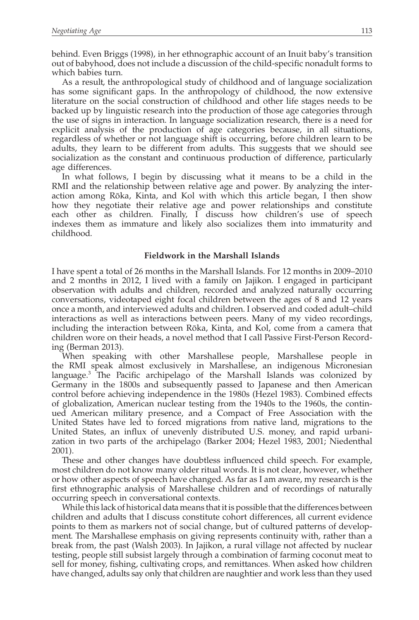behind. Even Briggs (1998), in her ethnographic account of an Inuit baby's transition out of babyhood, does not include a discussion of the child-specific nonadult forms to which babies turn.

As a result, the anthropological study of childhood and of language socialization has some significant gaps. In the anthropology of childhood, the now extensive literature on the social construction of childhood and other life stages needs to be backed up by linguistic research into the production of those age categories through the use of signs in interaction. In language socialization research, there is a need for explicit analysis of the production of age categories because, in all situations, regardless of whether or not language shift is occurring, before children learn to be adults, they learn to be different from adults. This suggests that we should see socialization as the constant and continuous production of difference, particularly age differences.

In what follows, I begin by discussing what it means to be a child in the RMI and the relationship between relative age and power. By analyzing the interaction among Rōka, Kinta, and Kol with which this article began, I then show how they negotiate their relative age and power relationships and constitute each other as children. Finally, I discuss how children's use of speech indexes them as immature and likely also socializes them into immaturity and childhood.

# **Fieldwork in the Marshall Islands**

I have spent a total of 26 months in the Marshall Islands. For 12 months in 2009–2010 and 2 months in 2012, I lived with a family on Jajikon. I engaged in participant observation with adults and children, recorded and analyzed naturally occurring conversations, videotaped eight focal children between the ages of 8 and 12 years once a month, and interviewed adults and children. I observed and coded adult–child interactions as well as interactions between peers. Many of my video recordings, including the interaction between Rōka, Kinta, and Kol, come from a camera that children wore on their heads, a novel method that I call Passive First-Person Recording (Berman 2013).

When speaking with other Marshallese people, Marshallese people in the RMI speak almost exclusively in Marshallese, an indigenous Micronesian language.<sup>3</sup> The Pacific archipelago of the Marshall Islands was colonized by Germany in the 1800s and subsequently passed to Japanese and then American control before achieving independence in the 1980s (Hezel 1983). Combined effects of globalization, American nuclear testing from the 1940s to the 1960s, the continued American military presence, and a Compact of Free Association with the United States have led to forced migrations from native land, migrations to the United States, an influx of unevenly distributed U.S. money, and rapid urbanization in two parts of the archipelago (Barker 2004; Hezel 1983, 2001; Niedenthal 2001).

These and other changes have doubtless influenced child speech. For example, most children do not know many older ritual words. It is not clear, however, whether or how other aspects of speech have changed. As far as I am aware, my research is the first ethnographic analysis of Marshallese children and of recordings of naturally occurring speech in conversational contexts.

While this lack of historical data means that it is possible that the differences between children and adults that I discuss constitute cohort differences, all current evidence points to them as markers not of social change, but of cultured patterns of development. The Marshallese emphasis on giving represents continuity with, rather than a break from, the past (Walsh 2003). In Jajikon, a rural village not affected by nuclear testing, people still subsist largely through a combination of farming coconut meat to sell for money, fishing, cultivating crops, and remittances. When asked how children have changed, adults say only that children are naughtier and work less than they used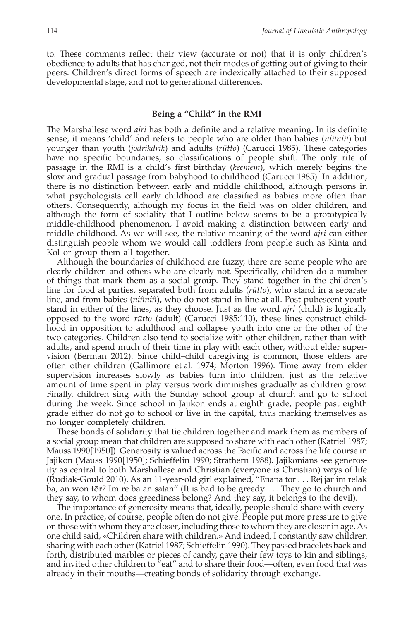to. These comments reflect their view (accurate or not) that it is only children's obedience to adults that has changed, not their modes of getting out of giving to their peers. Children's direct forms of speech are indexically attached to their supposed developmental stage, and not to generational differences.

## **Being a "Child" in the RMI**

The Marshallese word *ajri* has both a definite and a relative meaning. In its definite sense, it means 'child' and refers to people who are older than babies (*niñniñ*) but younger than youth (*jodrikdrik*) and adults (*rūtto*) (Carucci 1985). These categories have no specific boundaries, so classifications of people shift. The only rite of passage in the RMI is a child's first birthday (*keemem*), which merely begins the slow and gradual passage from babyhood to childhood (Carucci 1985). In addition, there is no distinction between early and middle childhood, although persons in what psychologists call early childhood are classified as babies more often than others. Consequently, although my focus in the field was on older children, and although the form of sociality that I outline below seems to be a prototypically middle-childhood phenomenon, I avoid making a distinction between early and middle childhood. As we will see, the relative meaning of the word *ajri* can either distinguish people whom we would call toddlers from people such as Kinta and Kol or group them all together.

Although the boundaries of childhood are fuzzy, there are some people who are clearly children and others who are clearly not. Specifically, children do a number of things that mark them as a social group. They stand together in the children's line for food at parties, separated both from adults (*rūtto*), who stand in a separate line, and from babies (*niñniñ*), who do not stand in line at all. Post-pubescent youth stand in either of the lines, as they choose. Just as the word *ajri* (child) is logically opposed to the word *rūtto* (adult) (Carucci 1985:110), these lines construct childhood in opposition to adulthood and collapse youth into one or the other of the two categories. Children also tend to socialize with other children, rather than with adults, and spend much of their time in play with each other, without elder supervision (Berman 2012). Since child–child caregiving is common, those elders are often other children (Gallimore et al. 1974; Morton 1996). Time away from elder supervision increases slowly as babies turn into children, just as the relative amount of time spent in play versus work diminishes gradually as children grow. Finally, children sing with the Sunday school group at church and go to school during the week. Since school in Jajikon ends at eighth grade, people past eighth grade either do not go to school or live in the capital, thus marking themselves as no longer completely children.

These bonds of solidarity that tie children together and mark them as members of a social group mean that children are supposed to share with each other (Katriel 1987; Mauss 1990[1950]). Generosity is valued across the Pacific and across the life course in Jajikon (Mauss 1990[1950]; Schieffelin 1990; Strathern 1988). Jajikonians see generosity as central to both Marshallese and Christian (everyone is Christian) ways of life (Rudiak-Gould 2010). As an 11-year-old girl explained, "Enana tōr . . . Rej jar im relak ba, an won tōr? Im re ba an satan" (It is bad to be greedy.  $\dots$  They go to church and they say, to whom does greediness belong? And they say, it belongs to the devil).

The importance of generosity means that, ideally, people should share with everyone. In practice, of course, people often do not give. People put more pressure to give on those with whom they are closer, including those to whom they are closer in age. As one child said, «Children share with children.» And indeed, I constantly saw children sharing with each other (Katriel 1987; Schieffelin 1990). They passed bracelets back and forth, distributed marbles or pieces of candy, gave their few toys to kin and siblings, and invited other children to  $H$ eat" and to share their food—often, even food that was already in their mouths—creating bonds of solidarity through exchange.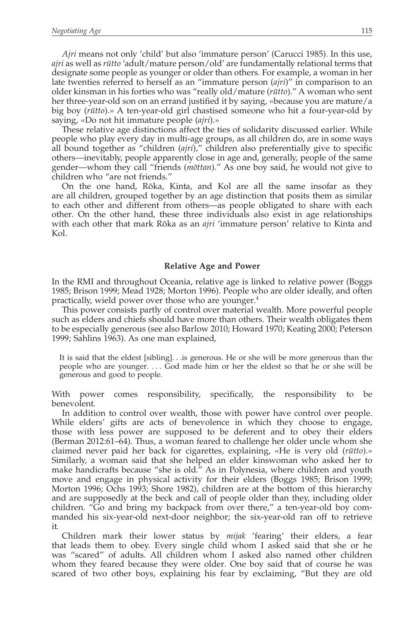*Ajri* means not only 'child' but also 'immature person' (Carucci 1985). In this use, *ajri* as well as *rūtto* 'adult/mature person/old' are fundamentally relational terms that designate some people as younger or older than others. For example, a woman in her late twenties referred to herself as an "immature person (*ajri*)" in comparison to an older kinsman in his forties who was "really old/mature (*rūtto*)." A woman who sent her three-year-old son on an errand justified it by saying, «because you are mature/a big boy (*rūtto*).» A ten-year-old girl chastised someone who hit a four-year-old by saying, «Do not hit immature people (*ajri*).»

These relative age distinctions affect the ties of solidarity discussed earlier. While people who play every day in multi-age groups, as all children do, are in some ways all bound together as "children (*ajri*)," children also preferentially give to specific others—inevitably, people apparently close in age and, generally, people of the same gender—whom they call "friends (*m*ottan)." As one boy said, he would not give to children who "are not friends."

On the one hand, Rōka, Kinta, and Kol are all the same insofar as they are all children, grouped together by an age distinction that posits them as similar to each other and different from others—as people obligated to share with each other. On the other hand, these three individuals also exist in age relationships with each other that mark Rōka as an *ajri* 'immature person' relative to Kinta and Kol.

#### **Relative Age and Power**

In the RMI and throughout Oceania, relative age is linked to relative power (Boggs 1985; Brison 1999; Mead 1928; Morton 1996). People who are older ideally, and often practically, wield power over those who are younger.<sup>4</sup>

This power consists partly of control over material wealth. More powerful people such as elders and chiefs should have more than others. Their wealth obligates them to be especially generous (see also Barlow 2010; Howard 1970; Keating 2000; Peterson 1999; Sahlins 1963). As one man explained,

It is said that the eldest [sibling]. . .is generous. He or she will be more generous than the people who are younger. . . . God made him or her the eldest so that he or she will be generous and good to people.

With power comes responsibility, specifically, the responsibility to be benevolent.

In addition to control over wealth, those with power have control over people. While elders' gifts are acts of benevolence in which they choose to engage, those with less power are supposed to be deferent and to obey their elders (Berman 2012:61–64). Thus, a woman feared to challenge her older uncle whom she claimed never paid her back for cigarettes, explaining, «He is very old (*rūtto*).» Similarly, a woman said that she helped an elder kinswoman who asked her to make handicrafts because "she is old." As in Polynesia, where children and youth move and engage in physical activity for their elders (Boggs 1985; Brison 1999; Morton 1996; Ochs 1993; Shore 1982), children are at the bottom of this hierarchy and are supposedly at the beck and call of people older than they, including older children. "Go and bring my backpack from over there," a ten-year-old boy commanded his six-year-old next-door neighbor; the six-year-old ran off to retrieve it.

Children mark their lower status by *mijak* 'fearing' their elders, a fear that leads them to obey. Every single child whom I asked said that she or he was "scared" of adults. All children whom I asked also named other children whom they feared because they were older. One boy said that of course he was scared of two other boys, explaining his fear by exclaiming, "But they are old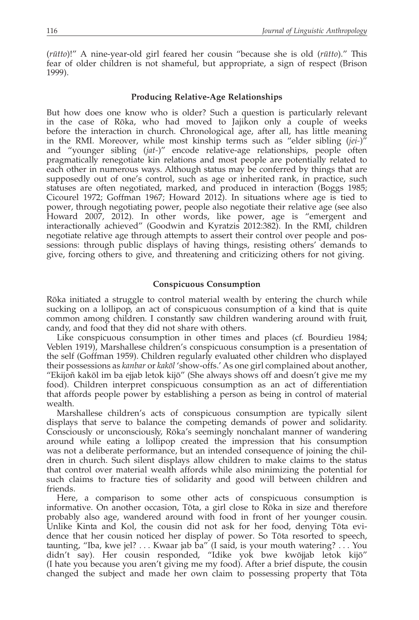(*rūtto*)!" A nine-year-old girl feared her cousin "because she is old (*rūtto*)." This fear of older children is not shameful, but appropriate, a sign of respect (Brison 1999).

# **Producing Relative-Age Relationships**

But how does one know who is older? Such a question is particularly relevant in the case of Rōka, who had moved to Jajikon only a couple of weeks before the interaction in church. Chronological age, after all, has little meaning in the RMI. Moreover, while most kinship terms such as "elder sibling (*jei-*)" and "younger sibling (*jat-*)" encode relative-age relationships, people often pragmatically renegotiate kin relations and most people are potentially related to each other in numerous ways. Although status may be conferred by things that are supposedly out of one's control, such as age or inherited rank, in practice, such statuses are often negotiated, marked, and produced in interaction (Boggs 1985; Cicourel 1972; Goffman 1967; Howard 2012). In situations where age is tied to power, through negotiating power, people also negotiate their relative age (see also Howard 2007, 2012). In other words, like power, age is "emergent and interactionally achieved" (Goodwin and Kyratzis 2012:382). In the RMI, children negotiate relative age through attempts to assert their control over people and possessions: through public displays of having things, resisting others' demands to give, forcing others to give, and threatening and criticizing others for not giving.

# **Conspicuous Consumption**

Rōka initiated a struggle to control material wealth by entering the church while sucking on a lollipop, an act of conspicuous consumption of a kind that is quite common among children. I constantly saw children wandering around with fruit, candy, and food that they did not share with others.

Like conspicuous consumption in other times and places (cf. Bourdieu 1984; Veblen 1919), Marshallese children's conspicuous consumption is a presentation of the self (Goffman 1959). Children regularly evaluated other children who displayed their possessions as *kanbar* or *kakōl* 'show-offs.' As one girl complained about another, "Ekijoñ kakōl im ba ejjab letok kijō" (She always shows off and doesn't give me my food). Children interpret conspicuous consumption as an act of differentiation that affords people power by establishing a person as being in control of material wealth.

Marshallese children's acts of conspicuous consumption are typically silent displays that serve to balance the competing demands of power and solidarity. Consciously or unconsciously, Rōka's seemingly nonchalant manner of wandering around while eating a lollipop created the impression that his consumption was not a deliberate performance, but an intended consequence of joining the children in church. Such silent displays allow children to make claims to the status that control over material wealth affords while also minimizing the potential for such claims to fracture ties of solidarity and good will between children and friends.

Here, a comparison to some other acts of conspicuous consumption is informative. On another occasion, Tōta, a girl close to Rōka in size and therefore probably also age, wandered around with food in front of her younger cousin. Unlike Kinta and Kol, the cousin did not ask for her food, denying Tōta evidence that her cousin noticed her display of power. So Tōta resorted to speech, taunting, "Iba, kwe jel? . . . Kwaar jab ba" (I said, is your mouth watering? . . . You didn't say). Her cousin responded, "Idike yok bwe kwōjjab letok kijō" (I hate you because you aren't giving me my food). After a brief dispute, the cousin changed the subject and made her own claim to possessing property that Tōta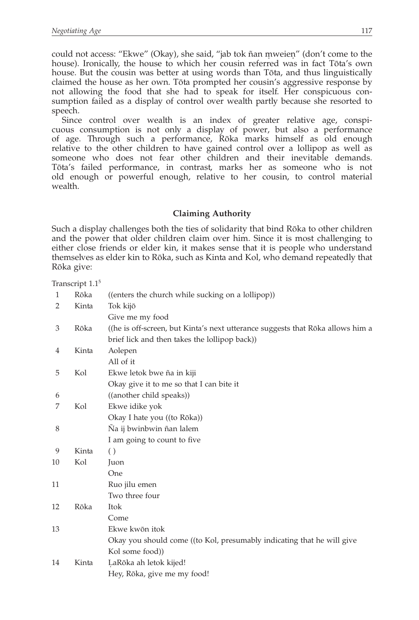could not access: "Ekwe" (Okay), she said, "jab tok ñan mweien" (don't come to the<br>house), Ironicelly, the house to vibieb har sousin reformed une in feet Tōte's ourn house). Ironically, the house to which her cousin referred was in fact Tōta's own house. But the cousin was better at using words than Tōta, and thus linguistically claimed the house as her own. Tota prompted her cousin's aggressive response by not allowing the food that she had to speak for itself. Her conspicuous consumption failed as a display of control over wealth partly because she resorted to speech.

Since control over wealth is an index of greater relative age, conspicuous consumption is not only a display of power, but also a performance of age. Through such a performance, Roka marks himself as old enough relative to the other children to have gained control over a lollipop as well as someone who does not fear other children and their inevitable demands. Tōta's failed performance, in contrast, marks her as someone who is not old enough or powerful enough, relative to her cousin, to control material wealth.

# **Claiming Authority**

Such a display challenges both the ties of solidarity that bind Rōka to other children and the power that older children claim over him. Since it is most challenging to either close friends or elder kin, it makes sense that it is people who understand themselves as elder kin to Rōka, such as Kinta and Kol, who demand repeatedly that Rōka give:

Transcript 1.15

| 1  | Rōka  | ((enters the church while sucking on a lollipop))                              |  |
|----|-------|--------------------------------------------------------------------------------|--|
| 2  | Kinta | Tok kijō                                                                       |  |
|    |       | Give me my food                                                                |  |
| 3  | Rōka  | ((he is off-screen, but Kinta's next utterance suggests that Rōka allows him a |  |
|    |       | brief lick and then takes the lollipop back)                                   |  |
| 4  | Kinta | Aolepen                                                                        |  |
|    |       | All of it                                                                      |  |
| 5  | Kol   | Ekwe letok bwe ña in kiji                                                      |  |
|    |       | Okay give it to me so that I can bite it                                       |  |
| 6  |       | ((another child speaks))                                                       |  |
| 7  | Kol   | Ekwe idike yok                                                                 |  |
|    |       | Okay I hate you ((to Rōka))                                                    |  |
| 8  |       | Ña ij bwinbwin ñan lalem                                                       |  |
|    |       | I am going to count to five                                                    |  |
| 9  | Kinta | $\left( \ \right)$                                                             |  |
| 10 | Kol   | Juon                                                                           |  |
|    |       | One                                                                            |  |
| 11 |       | Ruo jilu emen                                                                  |  |
|    |       | Two three four                                                                 |  |
| 12 | Rōka  | Itok                                                                           |  |
|    |       | Come                                                                           |  |
| 13 |       | Ekwe kwōn itok                                                                 |  |
|    |       | Okay you should come ((to Kol, presumably indicating that he will give         |  |
|    |       | Kol some food))                                                                |  |
| 14 | Kinta | LaRōka ah letok kijed!                                                         |  |
|    |       | Hey, Rōka, give me my food!                                                    |  |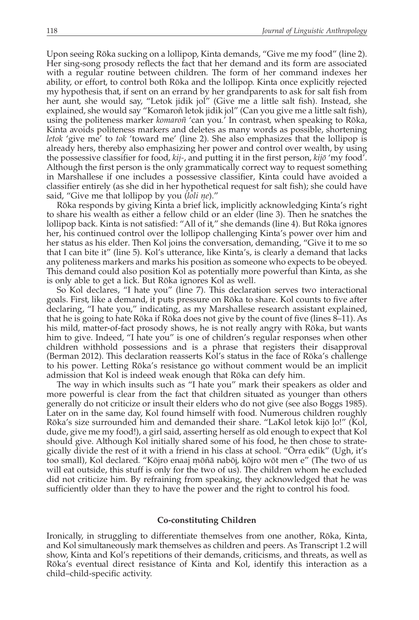Upon seeing Rōka sucking on a lollipop, Kinta demands, "Give me my food" (line 2). Her sing-song prosody reflects the fact that her demand and its form are associated with a regular routine between children. The form of her command indexes her ability, or effort, to control both Rōka and the lollipop. Kinta once explicitly rejected my hypothesis that, if sent on an errand by her grandparents to ask for salt fish from her aunt, she would say, "Letok jidik jol" (Give me a little salt fish). Instead, she explained, she would say "Komaroñ letok jidik jol" (Can you give me a little salt fish), using the politeness marker *komaroñ* 'can you.' In contrast, when speaking to Rōka, Kinta avoids politeness markers and deletes as many words as possible, shortening *letok* 'give me' to *tok* 'toward me' (line 2). She also emphasizes that the lollipop is already hers, thereby also emphasizing her power and control over wealth, by using the possessive classifier for food, *kij-*, and putting it in the first person, *kijo¯* 'my food'. Although the first person is the only grammatically correct way to request something in Marshallese if one includes a possessive classifier, Kinta could have avoided a classifier entirely (as she did in her hypothetical request for salt fish); she could have said, "Give me that lollipop by you (*loli ne*)."

Rōka responds by giving Kinta a brief lick, implicitly acknowledging Kinta's right to share his wealth as either a fellow child or an elder (line 3). Then he snatches the lollipop back. Kinta is not satisfied: "All of it," she demands (line 4). But Rōka ignores her, his continued control over the lollipop challenging Kinta's power over him and her status as his elder. Then Kol joins the conversation, demanding, "Give it to me so that I can bite it" (line 5). Kol's utterance, like Kinta's, is clearly a demand that lacks any politeness markers and marks his position as someone who expects to be obeyed. This demand could also position Kol as potentially more powerful than Kinta, as she is only able to get a lick. But Rōka ignores Kol as well.

So Kol declares, "I hate you" (line 7). This declaration serves two interactional goals. First, like a demand, it puts pressure on Rōka to share. Kol counts to five after declaring, "I hate you," indicating, as my Marshallese research assistant explained, that he is going to hate Rōka if Rōka does not give by the count of five (lines 8–11). As his mild, matter-of-fact prosody shows, he is not really angry with Rōka, but wants him to give. Indeed, "I hate you" is one of children's regular responses when other children withhold possessions and is a phrase that registers their disapproval (Berman 2012). This declaration reasserts Kol's status in the face of Rōka's challenge to his power. Letting Rōka's resistance go without comment would be an implicit admission that Kol is indeed weak enough that Rōka can defy him.

The way in which insults such as "I hate you" mark their speakers as older and more powerful is clear from the fact that children situated as younger than others generally do not criticize or insult their elders who do not give (see also Boggs 1985). Later on in the same day, Kol found himself with food. Numerous children roughly Rōka's size surrounded him and demanded their share. "LaKol letok kijō lo!" (Kol,<br>dude sive me my food), a sirkaid asserting herself as ald anough to avaset that Kol dude, give me my food!), a girl said, asserting herself as old enough to expect that Kol should give. Although Kol initially shared some of his food, he then chose to strategically divide the rest of it with a friend in his class at school. "Orra edik" (Ugh, it's too small), Kol declared. "Kōjro enaaj mōñā nabōj, kōjro wōt men e" (The two of us will eat outside, this stuff is only for the two of us). The children whom he excluded did not criticize him. By refraining from speaking, they acknowledged that he was sufficiently older than they to have the power and the right to control his food.

## **Co-constituting Children**

Ironically, in struggling to differentiate themselves from one another, Rōka, Kinta, and Kol simultaneously mark themselves as children and peers. As Transcript 1.2 will show, Kinta and Kol's repetitions of their demands, criticisms, and threats, as well as Rōka's eventual direct resistance of Kinta and Kol, identify this interaction as a child–child-specific activity.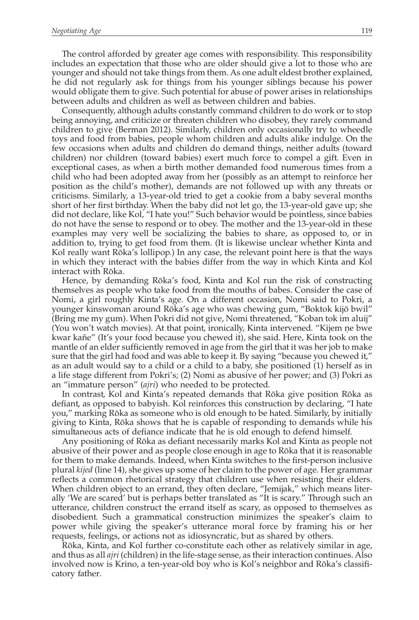The control afforded by greater age comes with responsibility. This responsibility includes an expectation that those who are older should give a lot to those who are younger and should not take things from them. As one adult eldest brother explained, he did not regularly ask for things from his younger siblings because his power would obligate them to give. Such potential for abuse of power arises in relationships between adults and children as well as between children and babies.

Consequently, although adults constantly command children to do work or to stop being annoying, and criticize or threaten children who disobey, they rarely command children to give (Berman 2012). Similarly, children only occasionally try to wheedle toys and food from babies, people whom children and adults alike indulge. On the few occasions when adults and children do demand things, neither adults (toward children) nor children (toward babies) exert much force to compel a gift. Even in exceptional cases, as when a birth mother demanded food numerous times from a child who had been adopted away from her (possibly as an attempt to reinforce her position as the child's mother), demands are not followed up with any threats or criticisms. Similarly, a 13-year-old tried to get a cookie from a baby several months short of her first birthday. When the baby did not let go, the 13-year-old gave up; she did not declare, like Kol, "I hate you!" Such behavior would be pointless, since babies do not have the sense to respond or to obey. The mother and the 13-year-old in these examples may very well be socializing the babies to share, as opposed to, or in addition to, trying to get food from them. (It is likewise unclear whether Kinta and Kol really want Rōka's lollipop.) In any case, the relevant point here is that the ways in which they interact with the babies differ from the way in which Kinta and Kol interact with Rōka.

Hence, by demanding Rōka's food, Kinta and Kol run the risk of constructing themselves as people who take food from the mouths of babes. Consider the case of Nomi, a girl roughly Kinta's age. On a different occasion, Nomi said to Pokri, a younger kinswoman around Rōka's age who was chewing gum, "Boktok kijō bwil" (Bring me my gum). When Pokri did not give, Nomi threatened, "Koban tok im aluij" (You won't watch movies). At that point, ironically, Kinta intervened. "Kijem ne bwe<br>lavar lieãe" (I's revue food boeyees revuelerus dit), she said. Here, Kinta tool: en the kwar kañe" (It's your food because you chewed it), she said. Here, Kinta took on the mantle of an elder sufficiently removed in age from the girl that it was her job to make sure that the girl had food and was able to keep it. By saying "because you chewed it," as an adult would say to a child or a child to a baby, she positioned (1) herself as in a life stage different from Pokri's; (2) Nomi as abusive of her power; and (3) Pokri as an "immature person" (*ajri*) who needed to be protected.

In contrast, Kol and Kinta's repeated demands that Rōka give position Rōka as defiant, as opposed to babyish. Kol reinforces this construction by declaring, "I hate you," marking Rōka as someone who is old enough to be hated. Similarly, by initially giving to Kinta, Rōka shows that he is capable of responding to demands while his simultaneous acts of defiance indicate that he is old enough to defend himself.

Any positioning of Rōka as defiant necessarily marks Kol and Kinta as people not abusive of their power and as people close enough in age to Rōka that it is reasonable for them to make demands. Indeed, when Kinta switches to the first-person inclusive plural *kijed* (line 14), she gives up some of her claim to the power of age. Her grammar reflects a common rhetorical strategy that children use when resisting their elders. When children object to an errand, they often declare, "Jemijak," which means literally 'We are scared' but is perhaps better translated as "It is scary." Through such an utterance, children construct the errand itself as scary, as opposed to themselves as disobedient. Such a grammatical construction minimizes the speaker's claim to power while giving the speaker's utterance moral force by framing his or her requests, feelings, or actions not as idiosyncratic, but as shared by others.

Rōka, Kinta, and Kol further co-constitute each other as relatively similar in age, and thus as all *ajri* (children) in the life-stage sense, as their interaction continues. Also involved now is Krino, a ten-year-old boy who is Kol's neighbor and Rōka's classificatory father.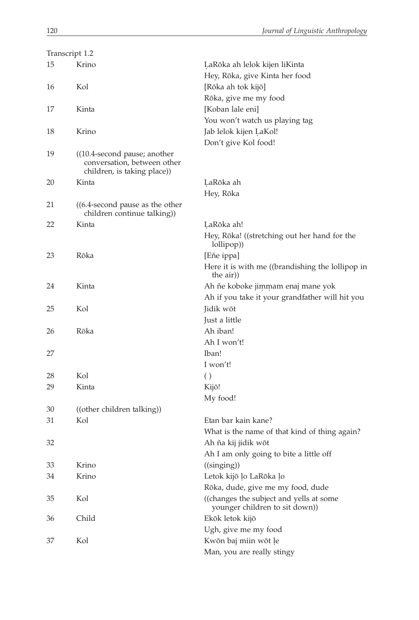| Transcript 1.2 |                                                                                            |                                                                           |
|----------------|--------------------------------------------------------------------------------------------|---------------------------------------------------------------------------|
| 15             | Krino                                                                                      | ĻaRōka ah lelok kijen liKinta                                             |
|                |                                                                                            | Hey, Rōka, give Kinta her food                                            |
| 16             | Kol                                                                                        | [Rōka ah tok kijō]                                                        |
|                |                                                                                            | Rōka, give me my food                                                     |
| 17             | Kinta                                                                                      | [Koban lale eni]                                                          |
|                |                                                                                            | You won't watch us playing tag                                            |
| 18             | Krino                                                                                      | Jab lelok kijen ĻaKol!                                                    |
|                |                                                                                            | Don't give Kol food!                                                      |
| 19             | ((10.4-second pause; another<br>conversation, between other<br>children, is taking place)) |                                                                           |
| 20             | Kinta                                                                                      | LaRōka ah                                                                 |
|                |                                                                                            | Hey, Rōka                                                                 |
| 21             | $((6.4\text{-second pause as the other})$<br>children continue talking))                   |                                                                           |
| 22             | Kinta                                                                                      | LaRōka ah!                                                                |
|                |                                                                                            | Hey, Rōka! ((stretching out her hand for the<br>lollipop)                 |
| 23             | Rōka                                                                                       | [Eñe ippa]                                                                |
|                |                                                                                            | Here it is with me ((brandishing the lollipop in<br>the air))             |
| 24             | Kinta                                                                                      | Ah ñe koboke jimmam enaj mane yok                                         |
|                |                                                                                            | Ah if you take it your grandfather will hit you                           |
| 25             | Kol                                                                                        | Jidik wōt                                                                 |
|                |                                                                                            | Just a little                                                             |
| 26             | Rōka                                                                                       | Ah iban!                                                                  |
|                |                                                                                            | Ah I won't!                                                               |
| 27             |                                                                                            | Iban!                                                                     |
|                |                                                                                            | I won't!                                                                  |
| 28             | Kol                                                                                        | $\left( \ \right)$                                                        |
| 29             | Kinta                                                                                      | Kijō!                                                                     |
|                |                                                                                            | My food!                                                                  |
| 30             | ((other children talking))                                                                 |                                                                           |
| 31             | Kol                                                                                        | Etan bar kain kane?                                                       |
|                |                                                                                            | What is the name of that kind of thing again?                             |
| 32             |                                                                                            | Ah ña kij jidik wōt                                                       |
|                |                                                                                            | Ah I am only going to bite a little off                                   |
| 33             | Krino                                                                                      | ((singing))                                                               |
| 34             | Krino                                                                                      | Letok kijō ļo LaRōka ļo                                                   |
|                |                                                                                            | Rōka, dude, give me my food, dude                                         |
| 35             | Kol                                                                                        | ((changes the subject and yells at some<br>younger children to sit down)) |
| 36             | Child                                                                                      | Ekōk letok kijō                                                           |
|                |                                                                                            | Ugh, give me my food                                                      |
| 37             | Kol                                                                                        | Kwōn baj miin wōt le                                                      |
|                |                                                                                            | Man, you are really stingy                                                |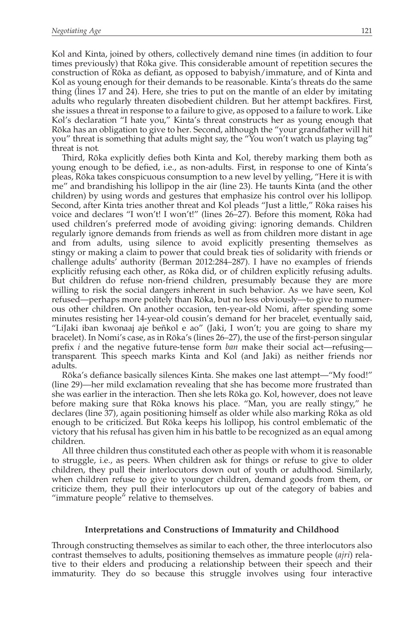Kol and Kinta, joined by others, collectively demand nine times (in addition to four times previously) that Rōka give. This considerable amount of repetition secures the construction of Rōka as defiant, as opposed to babyish/immature, and of Kinta and Kol as young enough for their demands to be reasonable. Kinta's threats do the same thing (lines 17 and 24). Here, she tries to put on the mantle of an elder by imitating adults who regularly threaten disobedient children. But her attempt backfires. First, she issues a threat in response to a failure to give, as opposed to a failure to work. Like Kol's declaration "I hate you," Kinta's threat constructs her as young enough that Rōka has an obligation to give to her. Second, although the "your grandfather will hit you" threat is something that adults might say, the "You won't watch us playing tag" threat is not.

Third, Rōka explicitly defies both Kinta and Kol, thereby marking them both as young enough to be defied, i.e., as non-adults. First, in response to one of Kinta's pleas, Rōka takes conspicuous consumption to a new level by yelling, "Here it is with me" and brandishing his lollipop in the air (line 23). He taunts Kinta (and the other children) by using words and gestures that emphasize his control over his lollipop. Second, after Kinta tries another threat and Kol pleads "Just a little," Rōka raises his voice and declares "I won't! I won't!" (lines 26–27). Before this moment, Rōka had used children's preferred mode of avoiding giving: ignoring demands. Children regularly ignore demands from friends as well as from children more distant in age and from adults, using silence to avoid explicitly presenting themselves as stingy or making a claim to power that could break ties of solidarity with friends or challenge adults' authority (Berman 2012:284–287). I have no examples of friends explicitly refusing each other, as Rōka did, or of children explicitly refusing adults. But children do refuse non-friend children, presumably because they are more willing to risk the social dangers inherent in such behavior. As we have seen, Kol refused—perhaps more politely than Rōka, but no less obviously—to give to numerous other children. On another occasion, ten-year-old Nomi, after spending some minutes resisting her 14-year-old cousin's demand for her bracelet, eventually said, "LiJaki iban kwonaaj aje beñkol e ao" (Jaki, I won't; you are going to share my bracelet). In Nomi's case, as in  $R\bar{o}ka's$  (lines  $26-27$ ), the use of the first-person singular prefix *i* and the negative future-tense form *ban* make their social act—refusing transparent. This speech marks Kinta and Kol (and Jaki) as neither friends nor adults.

Rōka's defiance basically silences Kinta. She makes one last attempt—"My food!" (line 29)—her mild exclamation revealing that she has become more frustrated than she was earlier in the interaction. Then she lets Rōka go. Kol, however, does not leave before making sure that Rōka knows his place. "Man, you are really stingy," he declares (line 37), again positioning himself as older while also marking Rōka as old enough to be criticized. But Rōka keeps his lollipop, his control emblematic of the victory that his refusal has given him in his battle to be recognized as an equal among children.

All three children thus constituted each other as people with whom it is reasonable to struggle, i.e., as peers. When children ask for things or refuse to give to older children, they pull their interlocutors down out of youth or adulthood. Similarly, when children refuse to give to younger children, demand goods from them, or criticize them, they pull their interlocutors up out of the category of babies and "immature people" relative to themselves.

# **Interpretations and Constructions of Immaturity and Childhood**

Through constructing themselves as similar to each other, the three interlocutors also contrast themselves to adults, positioning themselves as immature people (*ajri*) relative to their elders and producing a relationship between their speech and their immaturity. They do so because this struggle involves using four interactive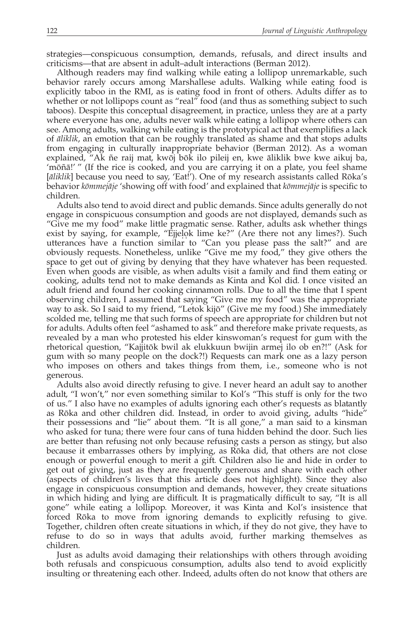strategies—conspicuous consumption, demands, refusals, and direct insults and criticisms—that are absent in adult–adult interactions (Berman 2012).

Although readers may find walking while eating a lollipop unremarkable, such behavior rarely occurs among Marshallese adults. Walking while eating food is explicitly taboo in the RMI, as is eating food in front of others. Adults differ as to whether or not lollipops count as "real" food (and thus as something subject to such taboos). Despite this conceptual disagreement, in practice, unless they are at a party where everyone has one, adults never walk while eating a lollipop where others can see. Among adults, walking while eating is the prototypical act that exemplifies a lack of *a¯liklik*, an emotion that can be roughly translated as shame and that stops adults from engaging in culturally inappropriate behavior (Berman 2012). As a woman explained, "Ak ñe raij mat, kwōj bōk ilo pileij en, kwe āliklik bwe kwe aikuj ba, 'mo¯ña¯!' " (If the rice is cooked, and you are carrying it on a plate, you feel shame [*āliklik*] because you need to say, 'Eat!'). One of my research assistants called Rōka's behavior *kōmmejāje* 'showing off with food' and explained that *kōmmejāje* is specific to children.

Adults also tend to avoid direct and public demands. Since adults generally do not engage in conspicuous consumption and goods are not displayed, demands such as "Give me my food" make little pragmatic sense. Rather, adults ask whether things exist by saying, for example, "Ejjelok lime ke?" (Are there not any limes?). Such<br>utterances have a function similar to "Can you places ness the salt?" and are exist by saying, for example, Effetox lime ket (Are there not any limes.). Such<br>utterances have a function similar to "Can you please pass the salt?" and are obviously requests. Nonetheless, unlike "Give me my food," they give others the space to get out of giving by denying that they have whatever has been requested. Even when goods are visible, as when adults visit a family and find them eating or cooking, adults tend not to make demands as Kinta and Kol did. I once visited an adult friend and found her cooking cinnamon rolls. Due to all the time that I spent observing children, I assumed that saying "Give me my food" was the appropriate way to ask. So I said to my friend, "Letok kijō" (Give me my food.) She immediately scolded me, telling me that such forms of speech are appropriate for children but not for adults. Adults often feel "ashamed to ask" and therefore make private requests, as revealed by a man who protested his elder kinswoman's request for gum with the rhetorical question, "Kajjitōk bwil ak elukkuun bwijin armej ilo ob en?!" (Ask for gum with so many people on the dock?!) Requests can mark one as a lazy person who imposes on others and takes things from them, i.e., someone who is not generous.

Adults also avoid directly refusing to give. I never heard an adult say to another adult, "I won't," nor even something similar to Kol's "This stuff is only for the two of us." I also have no examples of adults ignoring each other's requests as blatantly as Rōka and other children did. Instead, in order to avoid giving, adults "hide" their possessions and "lie" about them. "It is all gone," a man said to a kinsman who asked for tuna; there were four cans of tuna hidden behind the door. Such lies are better than refusing not only because refusing casts a person as stingy, but also because it embarrasses others by implying, as Rōka did, that others are not close enough or powerful enough to merit a gift. Children also lie and hide in order to get out of giving, just as they are frequently generous and share with each other (aspects of children's lives that this article does not highlight). Since they also engage in conspicuous consumption and demands, however, they create situations in which hiding and lying are difficult. It is pragmatically difficult to say, "It is all gone" while eating a lollipop. Moreover, it was Kinta and Kol's insistence that forced Rōka to move from ignoring demands to explicitly refusing to give. Together, children often create situations in which, if they do not give, they have to refuse to do so in ways that adults avoid, further marking themselves as children.

Just as adults avoid damaging their relationships with others through avoiding both refusals and conspicuous consumption, adults also tend to avoid explicitly insulting or threatening each other. Indeed, adults often do not know that others are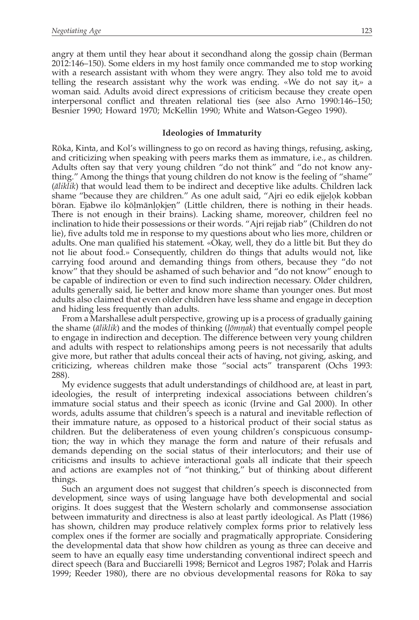angry at them until they hear about it secondhand along the gossip chain (Berman 2012:146–150). Some elders in my host family once commanded me to stop working with a research assistant with whom they were angry. They also told me to avoid telling the research assistant why the work was ending. «We do not say it,» a woman said. Adults avoid direct expressions of criticism because they create open interpersonal conflict and threaten relational ties (see also Arno 1990:146–150; Besnier 1990; Howard 1970; McKellin 1990; White and Watson-Gegeo 1990).

# **Ideologies of Immaturity**

Rōka, Kinta, and Kol's willingness to go on record as having things, refusing, asking, and criticizing when speaking with peers marks them as immature, i.e., as children. Adults often say that very young children "do not think" and "do not know anything." Among the things that young children do not know is the feeling of "shame" (*a¯liklik*) that would lead them to be indirect and deceptive like adults. Children lack shame "because they are children." As one adult said, "Ajri eo edik ejjelok kobban"<br>hāran, Fishus ils kālmānlakien" (Little shildren, there is nothing in their heads shame because they are children. As one addit said, Affr eo eurs effects, Robbarn<br>boran. Ejabwe ilo kōlmānlokien" (Little children, there is nothing in their heads. There is not enough in their brains). Lacking shame, moreover, children feel no inclination to hide their possessions or their words. "Ajri rejjab riab" (Children do not lie), five adults told me in response to my questions about who lies more, children or adults. One man qualified his statement. «Okay, well, they do a little bit. But they do not lie about food.» Consequently, children do things that adults would not, like carrying food around and demanding things from others, because they "do not know" that they should be ashamed of such behavior and "do not know" enough to be capable of indirection or even to find such indirection necessary. Older children, adults generally said, lie better and know more shame than younger ones. But most adults also claimed that even older children have less shame and engage in deception and hiding less frequently than adults.

From a Marshallese adult perspective, growing up is a process of gradually gaining the shame (*āliklik*) and the modes of thinking (*lōmnak*) that eventually compel people<br>the express in indirection on delegation. The difference hat users recurrence abildren the shalle (*athila)* and the modes of thinking (*omitial*) that eventually compet people<br>to engage in indirection and deception. The difference between very young children and adults with respect to relationships among peers is not necessarily that adults give more, but rather that adults conceal their acts of having, not giving, asking, and criticizing, whereas children make those "social acts" transparent (Ochs 1993: 288).

My evidence suggests that adult understandings of childhood are, at least in part, ideologies, the result of interpreting indexical associations between children's immature social status and their speech as iconic (Irvine and Gal 2000). In other words, adults assume that children's speech is a natural and inevitable reflection of their immature nature, as opposed to a historical product of their social status as children. But the deliberateness of even young children's conspicuous consumption; the way in which they manage the form and nature of their refusals and demands depending on the social status of their interlocutors; and their use of criticisms and insults to achieve interactional goals all indicate that their speech and actions are examples not of "not thinking," but of thinking about different things.

Such an argument does not suggest that children's speech is disconnected from development, since ways of using language have both developmental and social origins. It does suggest that the Western scholarly and commonsense association between immaturity and directness is also at least partly ideological. As Platt (1986) has shown, children may produce relatively complex forms prior to relatively less complex ones if the former are socially and pragmatically appropriate. Considering the developmental data that show how children as young as three can deceive and seem to have an equally easy time understanding conventional indirect speech and direct speech (Bara and Bucciarelli 1998; Bernicot and Legros 1987; Polak and Harris 1999; Reeder 1980), there are no obvious developmental reasons for Rōka to say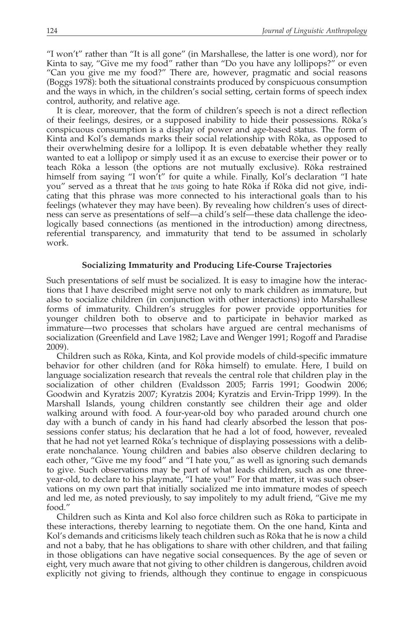"I won't" rather than "It is all gone" (in Marshallese, the latter is one word), nor for Kinta to say, "Give me my food" rather than "Do you have any lollipops?" or even "Can you give me my food?" There are, however, pragmatic and social reasons (Boggs 1978): both the situational constraints produced by conspicuous consumption and the ways in which, in the children's social setting, certain forms of speech index control, authority, and relative age.

It is clear, moreover, that the form of children's speech is not a direct reflection of their feelings, desires, or a supposed inability to hide their possessions. Roka's conspicuous consumption is a display of power and age-based status. The form of Kinta and Kol's demands marks their social relationship with Rōka, as opposed to their overwhelming desire for a lollipop. It is even debatable whether they really wanted to eat a lollipop or simply used it as an excuse to exercise their power or to teach Rōka a lesson (the options are not mutually exclusive). Rōka restrained himself from saying "I won't" for quite a while. Finally, Kol's declaration "I hate you" served as a threat that he *was* going to hate Rōka if Rōka did not give, indicating that this phrase was more connected to his interactional goals than to his feelings (whatever they may have been). By revealing how children's uses of directness can serve as presentations of self—a child's self—these data challenge the ideologically based connections (as mentioned in the introduction) among directness, referential transparency, and immaturity that tend to be assumed in scholarly work.

# **Socializing Immaturity and Producing Life-Course Trajectories**

Such presentations of self must be socialized. It is easy to imagine how the interactions that I have described might serve not only to mark children as immature, but also to socialize children (in conjunction with other interactions) into Marshallese forms of immaturity. Children's struggles for power provide opportunities for younger children both to observe and to participate in behavior marked as immature—two processes that scholars have argued are central mechanisms of socialization (Greenfield and Lave 1982; Lave and Wenger 1991; Rogoff and Paradise 2009).

Children such as Rōka, Kinta, and Kol provide models of child-specific immature behavior for other children (and for Rōka himself) to emulate. Here, I build on language socialization research that reveals the central role that children play in the socialization of other children (Evaldsson 2005; Farris 1991; Goodwin 2006; Goodwin and Kyratzis 2007; Kyratzis 2004; Kyratzis and Ervin-Tripp 1999). In the Marshall Islands, young children constantly see children their age and older walking around with food. A four-year-old boy who paraded around church one day with a bunch of candy in his hand had clearly absorbed the lesson that possessions confer status; his declaration that he had a lot of food, however, revealed that he had not yet learned Rōka's technique of displaying possessions with a deliberate nonchalance. Young children and babies also observe children declaring to each other, "Give me my food" and "I hate you," as well as ignoring such demands to give. Such observations may be part of what leads children, such as one threeyear-old, to declare to his playmate, "I hate you!" For that matter, it was such observations on my own part that initially socialized me into immature modes of speech and led me, as noted previously, to say impolitely to my adult friend, "Give me my food."

Children such as Kinta and Kol also force children such as Rōka to participate in these interactions, thereby learning to negotiate them. On the one hand, Kinta and Kol's demands and criticisms likely teach children such as Rōka that he is now a child and not a baby, that he has obligations to share with other children, and that failing in those obligations can have negative social consequences. By the age of seven or eight, very much aware that not giving to other children is dangerous, children avoid explicitly not giving to friends, although they continue to engage in conspicuous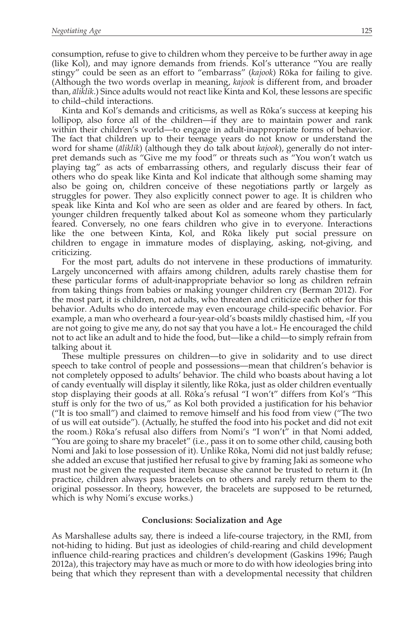consumption, refuse to give to children whom they perceive to be further away in age (like Kol), and may ignore demands from friends. Kol's utterance "You are really stingy" could be seen as an effort to "embarrass" (kajook) Rōka for failing to give. (Although the two words overlap in meaning, *kajook* is different from, and broader than,  $\bar{a}$ *liklik*.) Since adults would not react like Kinta and Kol, these lessons are specific to child–child interactions.

Kinta and Kol's demands and criticisms, as well as Rōka's success at keeping his lollipop, also force all of the children—if they are to maintain power and rank within their children's world—to engage in adult-inappropriate forms of behavior. The fact that children up to their teenage years do not know or understand the word for shame ( $\bar{a}$ *liklik*) (although they do talk about *kajook*), generally do not interpret demands such as "Give me my food" or threats such as "You won't watch us playing tag" as acts of embarrassing others, and regularly discuss their fear of others who do speak like Kinta and Kol indicate that although some shaming may also be going on, children conceive of these negotiations partly or largely as struggles for power. They also explicitly connect power to age. It is children who speak like Kinta and Kol who are seen as older and are feared by others. In fact, younger children frequently talked about Kol as someone whom they particularly feared. Conversely, no one fears children who give in to everyone. Interactions like the one between Kinta, Kol, and Rōka likely put social pressure on children to engage in immature modes of displaying, asking, not-giving, and criticizing.

For the most part, adults do not intervene in these productions of immaturity. Largely unconcerned with affairs among children, adults rarely chastise them for these particular forms of adult-inappropriate behavior so long as children refrain from taking things from babies or making younger children cry (Berman 2012). For the most part, it is children, not adults, who threaten and criticize each other for this behavior. Adults who do intercede may even encourage child-specific behavior. For example, a man who overheard a four-year-old's boasts mildly chastised him, «If you are not going to give me any, do not say that you have a lot.» He encouraged the child not to act like an adult and to hide the food, but—like a child—to simply refrain from talking about it.

These multiple pressures on children—to give in solidarity and to use direct speech to take control of people and possessions—mean that children's behavior is not completely opposed to adults' behavior. The child who boasts about having a lot of candy eventually will display it silently, like Rōka, just as older children eventually stop displaying their goods at all. Rōka's refusal "I won't" differs from Kol's "This stuff is only for the two of us," as Kol both provided a justification for his behavior ("It is too small") and claimed to remove himself and his food from view ("The two of us will eat outside"). (Actually, he stuffed the food into his pocket and did not exit the room.) Rōka's refusal also differs from Nomi's "I won't" in that Nomi added, "You are going to share my bracelet" (i.e., pass it on to some other child, causing both Nomi and Jaki to lose possession of it). Unlike Rōka, Nomi did not just baldly refuse; she added an excuse that justified her refusal to give by framing Jaki as someone who must not be given the requested item because she cannot be trusted to return it. (In practice, children always pass bracelets on to others and rarely return them to the original possessor. In theory, however, the bracelets are supposed to be returned, which is why Nomi's excuse works.)

#### **Conclusions: Socialization and Age**

As Marshallese adults say, there is indeed a life-course trajectory, in the RMI, from not-hiding to hiding. But just as ideologies of child-rearing and child development influence child-rearing practices and children's development (Gaskins 1996; Paugh 2012a), this trajectory may have as much or more to do with how ideologies bring into being that which they represent than with a developmental necessity that children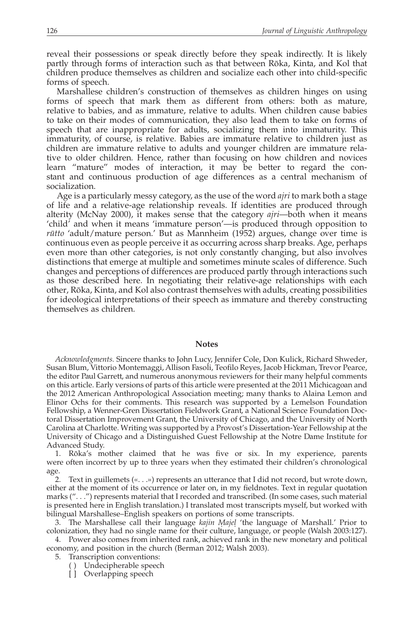reveal their possessions or speak directly before they speak indirectly. It is likely partly through forms of interaction such as that between Roka, Kinta, and Kol that children produce themselves as children and socialize each other into child-specific forms of speech.

Marshallese children's construction of themselves as children hinges on using forms of speech that mark them as different from others: both as mature, relative to babies, and as immature, relative to adults. When children cause babies to take on their modes of communication, they also lead them to take on forms of speech that are inappropriate for adults, socializing them into immaturity. This immaturity, of course, is relative. Babies are immature relative to children just as children are immature relative to adults and younger children are immature relative to older children. Hence, rather than focusing on how children and novices learn "mature" modes of interaction, it may be better to regard the constant and continuous production of age differences as a central mechanism of socialization.

Age is a particularly messy category, as the use of the word *ajri* to mark both a stage of life and a relative-age relationship reveals. If identities are produced through alterity (McNay 2000), it makes sense that the category *ajri*—both when it means 'child' and when it means 'immature person'—is produced through opposition to *rūtto* 'adult/mature person.' But as Mannheim (1952) argues, change over time is continuous even as people perceive it as occurring across sharp breaks. Age, perhaps even more than other categories, is not only constantly changing, but also involves distinctions that emerge at multiple and sometimes minute scales of difference. Such changes and perceptions of differences are produced partly through interactions such as those described here. In negotiating their relative-age relationships with each other, Rōka, Kinta, and Kol also contrast themselves with adults, creating possibilities for ideological interpretations of their speech as immature and thereby constructing themselves as children.

#### **Notes**

*Acknowledgments.* Sincere thanks to John Lucy, Jennifer Cole, Don Kulick, Richard Shweder, Susan Blum, Vittorio Montemaggi, Allison Fasoli, Teofilo Reyes, Jacob Hickman, Trevor Pearce, the editor Paul Garrett, and numerous anonymous reviewers for their many helpful comments on this article. Early versions of parts of this article were presented at the 2011 Michicagoan and the 2012 American Anthropological Association meeting; many thanks to Alaina Lemon and Elinor Ochs for their comments. This research was supported by a Lemelson Foundation Fellowship, a Wenner-Gren Dissertation Fieldwork Grant, a National Science Foundation Doctoral Dissertation Improvement Grant, the University of Chicago, and the University of North Carolina at Charlotte. Writing was supported by a Provost's Dissertation-Year Fellowship at the University of Chicago and a Distinguished Guest Fellowship at the Notre Dame Institute for Advanced Study.

1. Rōka's mother claimed that he was five or six. In my experience, parents were often incorrect by up to three years when they estimated their children's chronological age.

2. Text in guillemets («. . .») represents an utterance that I did not record, but wrote down, either at the moment of its occurrence or later on, in my fieldnotes. Text in regular quotation marks (". . .") represents material that I recorded and transcribed. (In some cases, such material is presented here in English translation.) I translated most transcripts myself, but worked with bilingual Marshallese–English speakers on portions of some transcripts.

3. The Marshallese call their language *kajin Majel* 'the language of Marshall.' Prior to colonization, they had no single name for their culture, language, or people (Walsh 2003:127).

4. Power also comes from inherited rank, achieved rank in the new monetary and political economy, and position in the church (Berman 2012; Walsh 2003).

- 5. Transcription conventions:
	- ( ) Undecipherable speech
	- [ ] Overlapping speech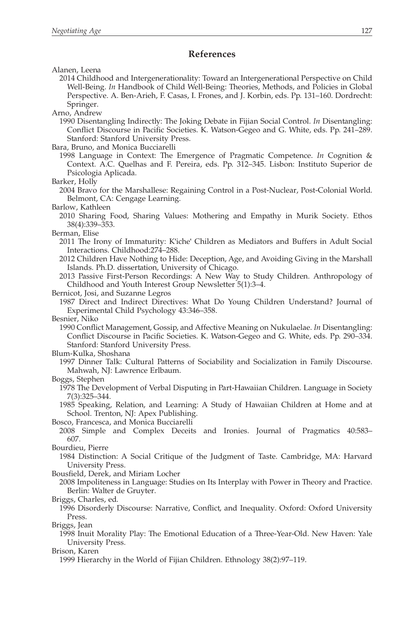# **References**

Alanen, Leena

2014 Childhood and Intergenerationality: Toward an Intergenerational Perspective on Child Well-Being. *In* Handbook of Child Well-Being: Theories, Methods, and Policies in Global Perspective. A. Ben-Arieh, F. Casas, I. Frones, and J. Korbin, eds. Pp. 131–160. Dordrecht: Springer.

Arno, Andrew

1990 Disentangling Indirectly: The Joking Debate in Fijian Social Control. *In* Disentangling: Conflict Discourse in Pacific Societies. K. Watson-Gegeo and G. White, eds. Pp. 241–289. Stanford: Stanford University Press.

Bara, Bruno, and Monica Bucciarelli

1998 Language in Context: The Emergence of Pragmatic Competence. *In* Cognition & Context. A.C. Quelhas and F. Pereira, eds. Pp. 312–345. Lisbon: Instituto Superior de Psicologia Aplicada.

Barker, Holly

2004 Bravo for the Marshallese: Regaining Control in a Post-Nuclear, Post-Colonial World. Belmont, CA: Cengage Learning.

Barlow, Kathleen

2010 Sharing Food, Sharing Values: Mothering and Empathy in Murik Society. Ethos 38(4):339–353.

Berman, Elise

2011 The Irony of Immaturity: K'iche' Children as Mediators and Buffers in Adult Social Interactions. Childhood:274–288.

2012 Children Have Nothing to Hide: Deception, Age, and Avoiding Giving in the Marshall Islands. Ph.D. dissertation, University of Chicago.

2013 Passive First-Person Recordings: A New Way to Study Children. Anthropology of Childhood and Youth Interest Group Newsletter 5(1):3–4.

Bernicot, Josi, and Suzanne Legros

1987 Direct and Indirect Directives: What Do Young Children Understand? Journal of Experimental Child Psychology 43:346–358.

Besnier, Niko

1990 Conflict Management, Gossip, and Affective Meaning on Nukulaelae. *In* Disentangling: Conflict Discourse in Pacific Societies. K. Watson-Gegeo and G. White, eds. Pp. 290–334. Stanford: Stanford University Press.

Blum-Kulka, Shoshana

1997 Dinner Talk: Cultural Patterns of Sociability and Socialization in Family Discourse. Mahwah, NJ: Lawrence Erlbaum.

Boggs, Stephen

1978 The Development of Verbal Disputing in Part-Hawaiian Children. Language in Society 7(3):325–344.

1985 Speaking, Relation, and Learning: A Study of Hawaiian Children at Home and at School. Trenton, NJ: Apex Publishing.

Bosco, Francesca, and Monica Bucciarelli

2008 Simple and Complex Deceits and Ironies. Journal of Pragmatics 40:583– 607.

Bourdieu, Pierre

1984 Distinction: A Social Critique of the Judgment of Taste. Cambridge, MA: Harvard University Press.

Bousfield, Derek, and Miriam Locher

2008 Impoliteness in Language: Studies on Its Interplay with Power in Theory and Practice. Berlin: Walter de Gruyter.

Briggs, Charles, ed.

1996 Disorderly Discourse: Narrative, Conflict, and Inequality. Oxford: Oxford University Press.

Briggs, Jean

1998 Inuit Morality Play: The Emotional Education of a Three-Year-Old. New Haven: Yale University Press.

Brison, Karen

1999 Hierarchy in the World of Fijian Children. Ethnology 38(2):97–119.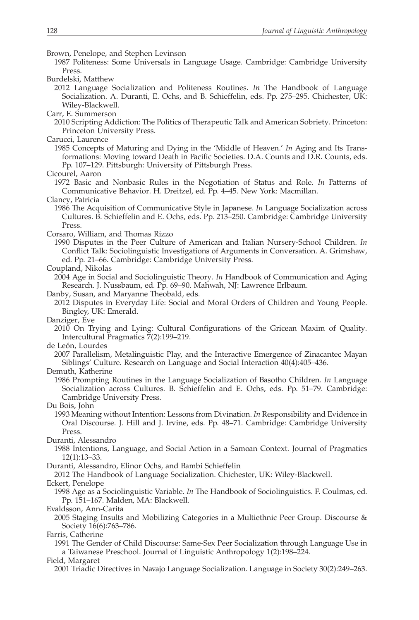Brown, Penelope, and Stephen Levinson

1987 Politeness: Some Universals in Language Usage. Cambridge: Cambridge University Press.

Burdelski, Matthew

2012 Language Socialization and Politeness Routines. *In* The Handbook of Language Socialization. A. Duranti, E. Ochs, and B. Schieffelin, eds. Pp. 275–295. Chichester, UK: Wiley-Blackwell.

Carr, E. Summerson

2010 Scripting Addiction: The Politics of Therapeutic Talk and American Sobriety. Princeton: Princeton University Press.

Carucci, Laurence

1985 Concepts of Maturing and Dying in the 'Middle of Heaven.' *In* Aging and Its Transformations: Moving toward Death in Pacific Societies. D.A. Counts and D.R. Counts, eds. Pp. 107–129. Pittsburgh: University of Pittsburgh Press.

Cicourel, Aaron

1972 Basic and Nonbasic Rules in the Negotiation of Status and Role. *In* Patterns of Communicative Behavior. H. Dreitzel, ed. Pp. 4–45. New York: Macmillan.

Clancy, Patricia

1986 The Acquisition of Communicative Style in Japanese. *In* Language Socialization across Cultures. B. Schieffelin and E. Ochs, eds. Pp. 213–250. Cambridge: Cambridge University Press.

Corsaro, William, and Thomas Rizzo

1990 Disputes in the Peer Culture of American and Italian Nursery-School Children. *In* Conflict Talk: Sociolinguistic Investigations of Arguments in Conversation. A. Grimshaw, ed. Pp. 21–66. Cambridge: Cambridge University Press.

Coupland, Nikolas

2004 Age in Social and Sociolinguistic Theory. *In* Handbook of Communication and Aging Research. J. Nussbaum, ed. Pp. 69–90. Mahwah, NJ: Lawrence Erlbaum.

Danby, Susan, and Maryanne Theobald, eds.

2012 Disputes in Everyday Life: Social and Moral Orders of Children and Young People. Bingley, UK: Emerald.

Danziger, Eve

2010 On Trying and Lying: Cultural Configurations of the Gricean Maxim of Quality. Intercultural Pragmatics 7(2):199–219.

de León, Lourdes

2007 Parallelism, Metalinguistic Play, and the Interactive Emergence of Zinacantec Mayan Siblings' Culture. Research on Language and Social Interaction 40(4):405–436.

Demuth, Katherine

1986 Prompting Routines in the Language Socialization of Basotho Children. *In* Language Socialization across Cultures. B. Schieffelin and E. Ochs, eds. Pp. 51–79. Cambridge: Cambridge University Press.

Du Bois, John

1993 Meaning without Intention: Lessons from Divination. *In* Responsibility and Evidence in Oral Discourse. J. Hill and J. Irvine, eds. Pp. 48–71. Cambridge: Cambridge University Press.

Duranti, Alessandro

1988 Intentions, Language, and Social Action in a Samoan Context. Journal of Pragmatics 12(1):13–33.

Duranti, Alessandro, Elinor Ochs, and Bambi Schieffelin

2012 The Handbook of Language Socialization. Chichester, UK: Wiley-Blackwell.

Eckert, Penelope

1998 Age as a Sociolinguistic Variable. *In* The Handbook of Sociolinguistics. F. Coulmas, ed. Pp. 151–167. Malden, MA: Blackwell.

Evaldsson, Ann-Carita

2005 Staging Insults and Mobilizing Categories in a Multiethnic Peer Group. Discourse & Society 16(6):763–786.

Farris, Catherine

1991 The Gender of Child Discourse: Same-Sex Peer Socialization through Language Use in a Taiwanese Preschool. Journal of Linguistic Anthropology 1(2):198–224.

Field, Margaret

2001 Triadic Directives in Navajo Language Socialization. Language in Society 30(2):249–263.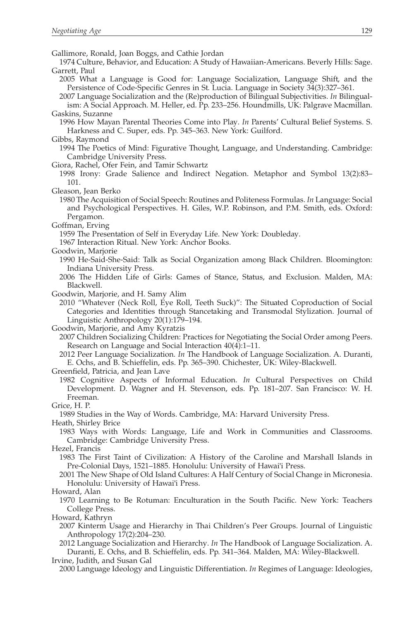Gallimore, Ronald, Joan Boggs, and Cathie Jordan

1974 Culture, Behavior, and Education: A Study of Hawaiian-Americans. Beverly Hills: Sage. Garrett, Paul

2005 What a Language is Good for: Language Socialization, Language Shift, and the Persistence of Code-Specific Genres in St. Lucia. Language in Society 34(3):327–361.

2007 Language Socialization and the (Re)production of Bilingual Subjectivities. *In* Bilingualism: A Social Approach. M. Heller, ed. Pp. 233–256. Houndmills, UK: Palgrave Macmillan. Gaskins, Suzanne

1996 How Mayan Parental Theories Come into Play. *In* Parents' Cultural Belief Systems. S. Harkness and C. Super, eds. Pp. 345–363. New York: Guilford.

Gibbs, Raymond

1994 The Poetics of Mind: Figurative Thought, Language, and Understanding. Cambridge: Cambridge University Press.

Giora, Rachel, Ofer Fein, and Tamir Schwartz

1998 Irony: Grade Salience and Indirect Negation. Metaphor and Symbol 13(2):83– 101.

Gleason, Jean Berko

1980 The Acquisition of Social Speech: Routines and Politeness Formulas. *In* Language: Social and Psychological Perspectives. H. Giles, W.P. Robinson, and P.M. Smith, eds. Oxford: Pergamon.

Goffman, Erving

1959 The Presentation of Self in Everyday Life. New York: Doubleday.

1967 Interaction Ritual. New York: Anchor Books.

Goodwin, Marjorie

1990 He-Said-She-Said: Talk as Social Organization among Black Children. Bloomington: Indiana University Press.

2006 The Hidden Life of Girls: Games of Stance, Status, and Exclusion. Malden, MA: Blackwell.

Goodwin, Marjorie, and H. Samy Alim

2010 "Whatever (Neck Roll, Eye Roll, Teeth Suck)": The Situated Coproduction of Social Categories and Identities through Stancetaking and Transmodal Stylization. Journal of Linguistic Anthropology 20(1):179–194.

Goodwin, Marjorie, and Amy Kyratzis

2007 Children Socializing Children: Practices for Negotiating the Social Order among Peers. Research on Language and Social Interaction 40(4):1–11.

2012 Peer Language Socialization. *In* The Handbook of Language Socialization. A. Duranti, E. Ochs, and B. Schieffelin, eds. Pp. 365–390. Chichester, UK: Wiley-Blackwell.

Greenfield, Patricia, and Jean Lave

1982 Cognitive Aspects of Informal Education. *In* Cultural Perspectives on Child Development. D. Wagner and H. Stevenson, eds. Pp. 181–207. San Francisco: W. H. Freeman.

Grice, H. P.

1989 Studies in the Way of Words. Cambridge, MA: Harvard University Press.

Heath, Shirley Brice

1983 Ways with Words: Language, Life and Work in Communities and Classrooms. Cambridge: Cambridge University Press.

Hezel, Francis

1983 The First Taint of Civilization: A History of the Caroline and Marshall Islands in Pre-Colonial Days, 1521–1885. Honolulu: University of Hawai'i Press.

2001 The New Shape of Old Island Cultures: A Half Century of Social Change in Micronesia. Honolulu: University of Hawai'i Press.

Howard, Alan

1970 Learning to Be Rotuman: Enculturation in the South Pacific. New York: Teachers College Press.

Howard, Kathryn

2007 Kinterm Usage and Hierarchy in Thai Children's Peer Groups. Journal of Linguistic Anthropology 17(2):204–230.

2012 Language Socialization and Hierarchy. *In* The Handbook of Language Socialization. A. Duranti, E. Ochs, and B. Schieffelin, eds. Pp. 341–364. Malden, MA: Wiley-Blackwell.

Irvine, Judith, and Susan Gal

2000 Language Ideology and Linguistic Differentiation. *In* Regimes of Language: Ideologies,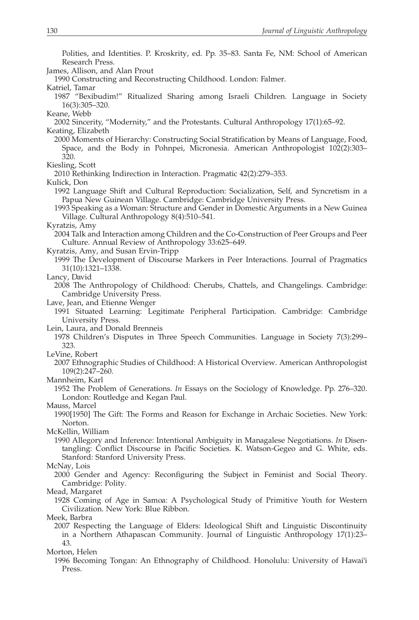Polities, and Identities. P. Kroskrity, ed. Pp. 35–83. Santa Fe, NM: School of American Research Press. James, Allison, and Alan Prout 1990 Constructing and Reconstructing Childhood. London: Falmer. Katriel, Tamar 1987 "Bexibudim!" Ritualized Sharing among Israeli Children. Language in Society 16(3):305–320. Keane, Webb 2002 Sincerity, "Modernity," and the Protestants. Cultural Anthropology 17(1):65–92. Keating, Elizabeth 2000 Moments of Hierarchy: Constructing Social Stratification by Means of Language, Food, Space, and the Body in Pohnpei, Micronesia. American Anthropologist 102(2):303– 320. Kiesling, Scott 2010 Rethinking Indirection in Interaction. Pragmatic 42(2):279–353. Kulick, Don 1992 Language Shift and Cultural Reproduction: Socialization, Self, and Syncretism in a Papua New Guinean Village. Cambridge: Cambridge University Press. 1993 Speaking as a Woman: Structure and Gender in Domestic Arguments in a New Guinea Village. Cultural Anthropology 8(4):510–541. Kyratzis, Amy 2004 Talk and Interaction among Children and the Co-Construction of Peer Groups and Peer Culture. Annual Review of Anthropology 33:625–649. Kyratzis, Amy, and Susan Ervin-Tripp 1999 The Development of Discourse Markers in Peer Interactions. Journal of Pragmatics 31(10):1321–1338. Lancy, David 2008 The Anthropology of Childhood: Cherubs, Chattels, and Changelings. Cambridge: Cambridge University Press. Lave, Jean, and Etienne Wenger 1991 Situated Learning: Legitimate Peripheral Participation. Cambridge: Cambridge University Press. Lein, Laura, and Donald Brenneis 1978 Children's Disputes in Three Speech Communities. Language in Society 7(3):299– 323. LeVine, Robert 2007 Ethnographic Studies of Childhood: A Historical Overview. American Anthropologist 109(2):247–260. Mannheim, Karl 1952 The Problem of Generations. *In* Essays on the Sociology of Knowledge. Pp. 276–320. London: Routledge and Kegan Paul. Mauss, Marcel 1990[1950] The Gift: The Forms and Reason for Exchange in Archaic Societies. New York: Norton. McKellin, William 1990 Allegory and Inference: Intentional Ambiguity in Managalese Negotiations. *In* Disentangling: Conflict Discourse in Pacific Societies. K. Watson-Gegeo and G. White, eds. Stanford: Stanford University Press. McNay, Lois 2000 Gender and Agency: Reconfiguring the Subject in Feminist and Social Theory. Cambridge: Polity. Mead, Margaret 1928 Coming of Age in Samoa: A Psychological Study of Primitive Youth for Western Civilization. New York: Blue Ribbon. Meek, Barbra 2007 Respecting the Language of Elders: Ideological Shift and Linguistic Discontinuity in a Northern Athapascan Community. Journal of Linguistic Anthropology 17(1):23– 43. Morton, Helen

1996 Becoming Tongan: An Ethnography of Childhood. Honolulu: University of Hawai'i Press.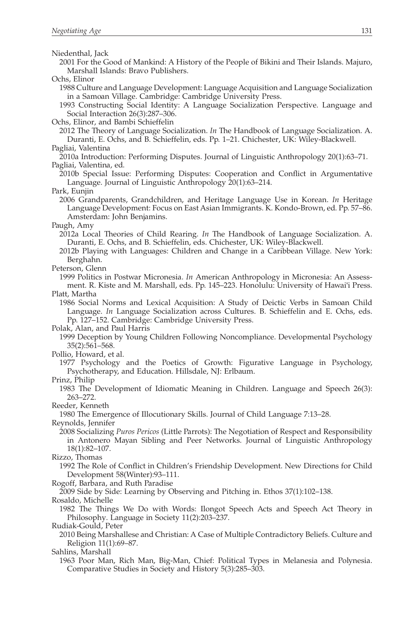Niedenthal, Jack

2001 For the Good of Mankind: A History of the People of Bikini and Their Islands. Majuro, Marshall Islands: Bravo Publishers.

Ochs, Elinor

1988 Culture and Language Development: Language Acquisition and Language Socialization in a Samoan Village. Cambridge: Cambridge University Press.

1993 Constructing Social Identity: A Language Socialization Perspective. Language and Social Interaction 26(3):287–306.

Ochs, Elinor, and Bambi Schieffelin

2012 The Theory of Language Socialization. *In* The Handbook of Language Socialization. A.

Duranti, E. Ochs, and B. Schieffelin, eds. Pp. 1–21. Chichester, UK: Wiley-Blackwell. Pagliai, Valentina

2010a Introduction: Performing Disputes. Journal of Linguistic Anthropology 20(1):63–71. Pagliai, Valentina, ed.

2010b Special Issue: Performing Disputes: Cooperation and Conflict in Argumentative Language. Journal of Linguistic Anthropology 20(1):63–214.

Park, Eunjin

2006 Grandparents, Grandchildren, and Heritage Language Use in Korean. *In* Heritage Language Development: Focus on East Asian Immigrants. K. Kondo-Brown, ed. Pp. 57–86. Amsterdam: John Benjamins.

Paugh, Amy

2012a Local Theories of Child Rearing. *In* The Handbook of Language Socialization. A. Duranti, E. Ochs, and B. Schieffelin, eds. Chichester, UK: Wiley-Blackwell.

2012b Playing with Languages: Children and Change in a Caribbean Village. New York: Berghahn.

Peterson, Glenn

1999 Politics in Postwar Micronesia. *In* American Anthropology in Micronesia: An Assessment. R. Kiste and M. Marshall, eds. Pp. 145–223. Honolulu: University of Hawai'i Press. Platt, Martha

1986 Social Norms and Lexical Acquisition: A Study of Deictic Verbs in Samoan Child Language. *In* Language Socialization across Cultures. B. Schieffelin and E. Ochs, eds. Pp. 127–152. Cambridge: Cambridge University Press.

Polak, Alan, and Paul Harris

1999 Deception by Young Children Following Noncompliance. Developmental Psychology 35(2):561–568.

Pollio, Howard, et al.

1977 Psychology and the Poetics of Growth: Figurative Language in Psychology, Psychotherapy, and Education. Hillsdale, NJ: Erlbaum.

Prinz, Philip

1983 The Development of Idiomatic Meaning in Children. Language and Speech 26(3): 263–272.

Reeder, Kenneth

1980 The Emergence of Illocutionary Skills. Journal of Child Language 7:13–28.

Reynolds, Jennifer

2008 Socializing *Puros Pericos* (Little Parrots): The Negotiation of Respect and Responsibility in Antonero Mayan Sibling and Peer Networks. Journal of Linguistic Anthropology 18(1):82–107.

Rizzo, Thomas

1992 The Role of Conflict in Children's Friendship Development. New Directions for Child Development 58(Winter):93–111.

Rogoff, Barbara, and Ruth Paradise

2009 Side by Side: Learning by Observing and Pitching in. Ethos 37(1):102–138.

Rosaldo, Michelle

1982 The Things We Do with Words: Ilongot Speech Acts and Speech Act Theory in Philosophy. Language in Society 11(2):203–237.

Rudiak-Gould, Peter

2010 Being Marshallese and Christian: A Case of Multiple Contradictory Beliefs. Culture and Religion 11(1):69–87.

Sahlins, Marshall

1963 Poor Man, Rich Man, Big-Man, Chief: Political Types in Melanesia and Polynesia. Comparative Studies in Society and History 5(3):285–303.